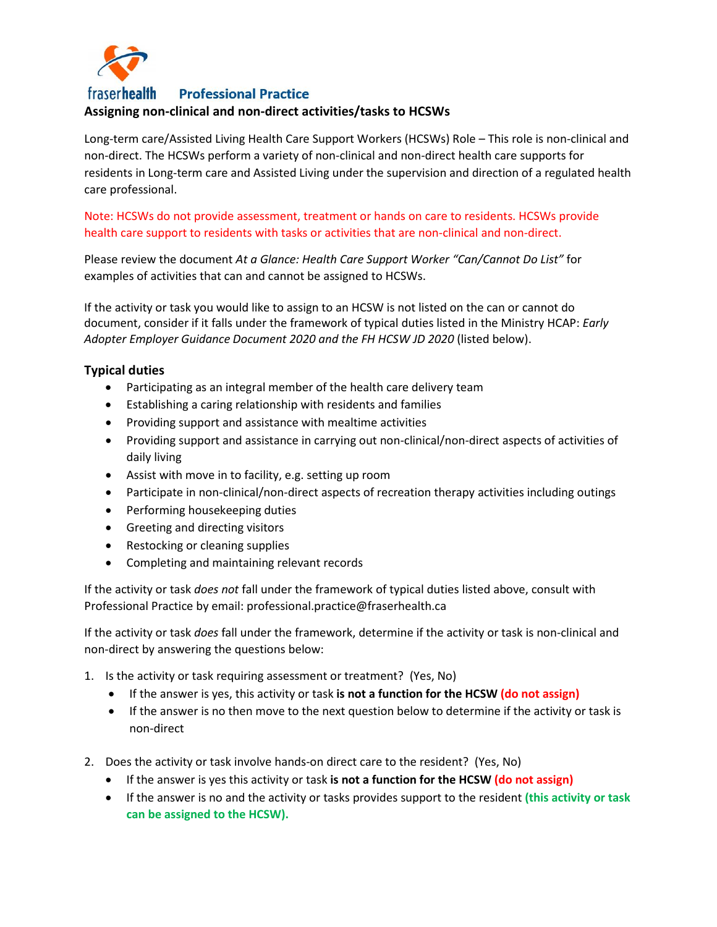

**fraserhealth Professional Practice** 

## **Assigning non-clinical and non-direct activities/tasks to HCSWs**

Long-term care/Assisted Living Health Care Support Workers (HCSWs) Role – This role is non-clinical and non-direct. The HCSWs perform a variety of non-clinical and non-direct health care supports for residents in Long-term care and Assisted Living under the supervision and direction of a regulated health care professional.

Note: HCSWs do not provide assessment, treatment or hands on care to residents. HCSWs provide health care support to residents with tasks or activities that are non-clinical and non-direct.

Please review the document *At a Glance: Health Care Support Worker "Can/Cannot Do List"* for examples of activities that can and cannot be assigned to HCSWs.

If the activity or task you would like to assign to an HCSW is not listed on the can or cannot do document, consider if it falls under the framework of typical duties listed in the Ministry HCAP: *Early Adopter Employer Guidance Document 2020 and the FH HCSW JD 2020* (listed below).

## **Typical duties**

- Participating as an integral member of the health care delivery team
- Establishing a caring relationship with residents and families
- Providing support and assistance with mealtime activities
- Providing support and assistance in carrying out non-clinical/non-direct aspects of activities of daily living
- Assist with move in to facility, e.g. setting up room
- Participate in non-clinical/non-direct aspects of recreation therapy activities including outings
- Performing housekeeping duties
- Greeting and directing visitors
- Restocking or cleaning supplies
- Completing and maintaining relevant records

If the activity or task *does not* fall under the framework of typical duties listed above, consult with Professional Practice by email: professional.practice@fraserhealth.ca

If the activity or task *does* fall under the framework, determine if the activity or task is non-clinical and non-direct by answering the questions below:

- 1. Is the activity or task requiring assessment or treatment? (Yes, No)
	- If the answer is yes, this activity or task **is not a function for the HCSW (do not assign)**
	- If the answer is no then move to the next question below to determine if the activity or task is non-direct
- 2. Does the activity or task involve hands-on direct care to the resident? (Yes, No)
	- If the answer is yes this activity or task **is not a function for the HCSW (do not assign)**
	- If the answer is no and the activity or tasks provides support to the resident **(this activity or task can be assigned to the HCSW).**